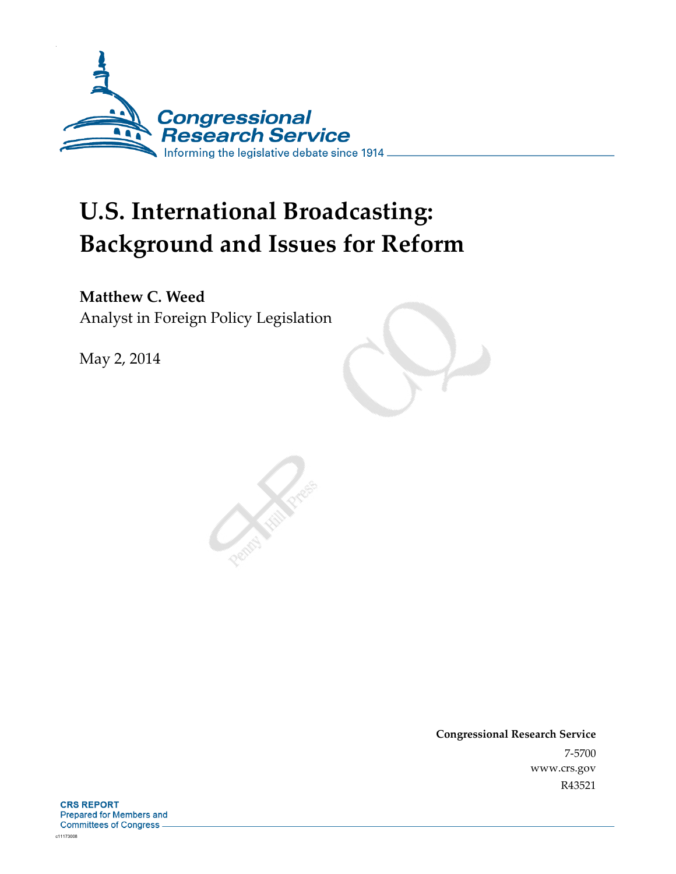

# **U.S. International Broadcasting: Background and Issues for Reform**

**Matthew C. Weed**  Analyst in Foreign Policy Legislation

May 2, 2014

**Congressional Research Service**  7-5700 www.crs.gov R43521

**CRS REPORT** Prepared for Members and Committees of Congress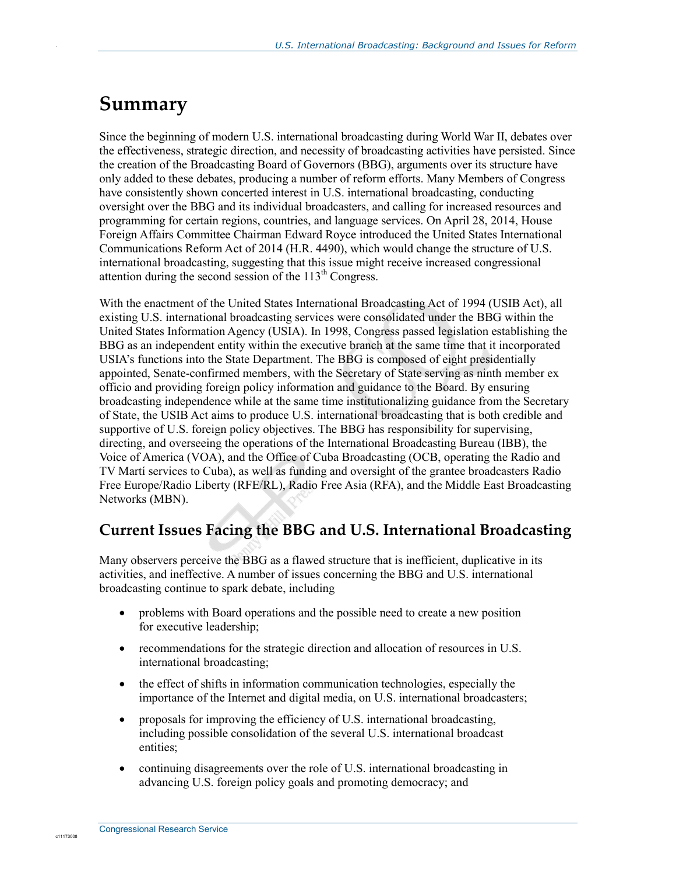## **Summary**

.

Since the beginning of modern U.S. international broadcasting during World War II, debates over the effectiveness, strategic direction, and necessity of broadcasting activities have persisted. Since the creation of the Broadcasting Board of Governors (BBG), arguments over its structure have only added to these debates, producing a number of reform efforts. Many Members of Congress have consistently shown concerted interest in U.S. international broadcasting, conducting oversight over the BBG and its individual broadcasters, and calling for increased resources and programming for certain regions, countries, and language services. On April 28, 2014, House Foreign Affairs Committee Chairman Edward Royce introduced the United States International Communications Reform Act of 2014 (H.R. 4490), which would change the structure of U.S. international broadcasting, suggesting that this issue might receive increased congressional attention during the second session of the  $113<sup>th</sup>$  Congress.

With the enactment of the United States International Broadcasting Act of 1994 (USIB Act), all existing U.S. international broadcasting services were consolidated under the BBG within the United States Information Agency (USIA). In 1998, Congress passed legislation establishing the BBG as an independent entity within the executive branch at the same time that it incorporated USIA's functions into the State Department. The BBG is composed of eight presidentially appointed, Senate-confirmed members, with the Secretary of State serving as ninth member ex officio and providing foreign policy information and guidance to the Board. By ensuring broadcasting independence while at the same time institutionalizing guidance from the Secretary of State, the USIB Act aims to produce U.S. international broadcasting that is both credible and supportive of U.S. foreign policy objectives. The BBG has responsibility for supervising, directing, and overseeing the operations of the International Broadcasting Bureau (IBB), the Voice of America (VOA), and the Office of Cuba Broadcasting (OCB, operating the Radio and TV Martí services to Cuba), as well as funding and oversight of the grantee broadcasters Radio Free Europe/Radio Liberty (RFE/RL), Radio Free Asia (RFA), and the Middle East Broadcasting Networks (MBN).

## **Current Issues Facing the BBG and U.S. International Broadcasting**

Many observers perceive the BBG as a flawed structure that is inefficient, duplicative in its activities, and ineffective. A number of issues concerning the BBG and U.S. international broadcasting continue to spark debate, including

- problems with Board operations and the possible need to create a new position for executive leadership;
- recommendations for the strategic direction and allocation of resources in U.S. international broadcasting;
- the effect of shifts in information communication technologies, especially the importance of the Internet and digital media, on U.S. international broadcasters;
- proposals for improving the efficiency of U.S. international broadcasting, including possible consolidation of the several U.S. international broadcast entities;
- continuing disagreements over the role of U.S. international broadcasting in advancing U.S. foreign policy goals and promoting democracy; and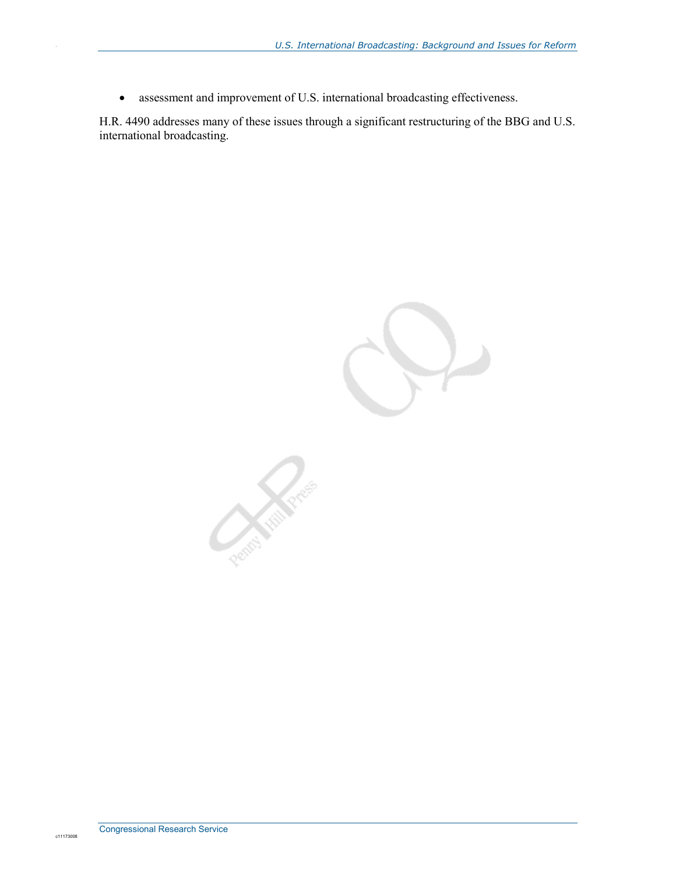• assessment and improvement of U.S. international broadcasting effectiveness.

H.R. 4490 addresses many of these issues through a significant restructuring of the BBG and U.S. international broadcasting.

**Contraction Contraction** 

c11173008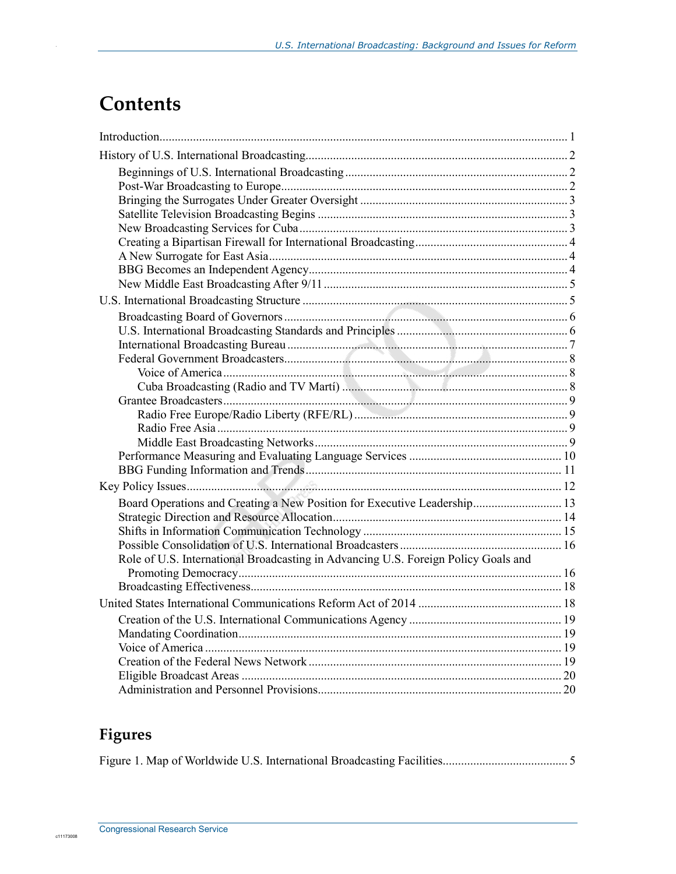## **Contents**

.

| Board Operations and Creating a New Position for Executive Leadership 13           |  |
|------------------------------------------------------------------------------------|--|
|                                                                                    |  |
|                                                                                    |  |
|                                                                                    |  |
| Role of U.S. International Broadcasting in Advancing U.S. Foreign Policy Goals and |  |
|                                                                                    |  |
|                                                                                    |  |
|                                                                                    |  |
|                                                                                    |  |
|                                                                                    |  |
|                                                                                    |  |
|                                                                                    |  |
|                                                                                    |  |
|                                                                                    |  |

## **Figures**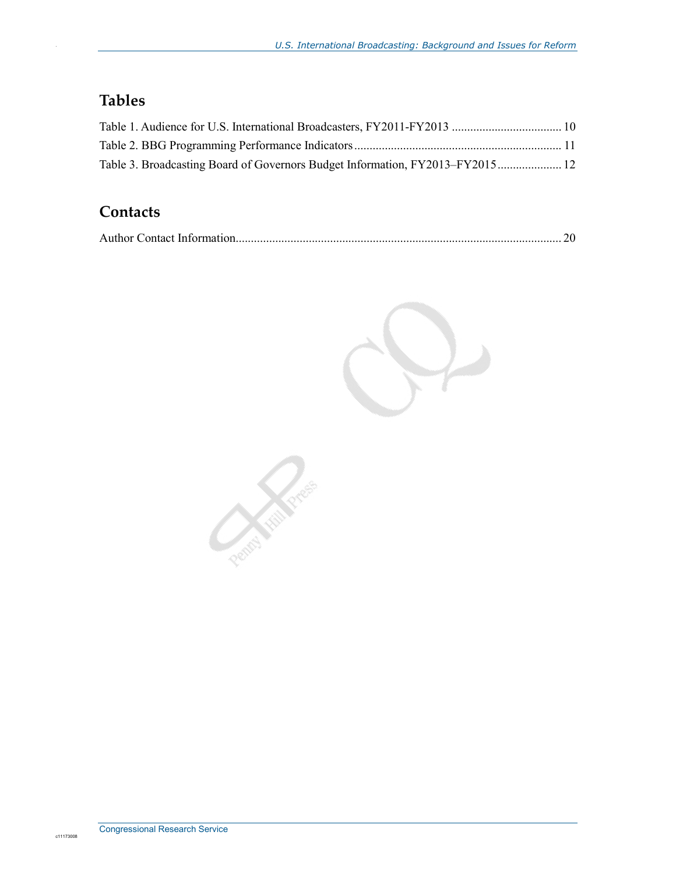## **Tables**

.

| Table 3. Broadcasting Board of Governors Budget Information, FY2013–FY2015 12 |  |
|-------------------------------------------------------------------------------|--|

### **Contacts**

|--|--|--|--|

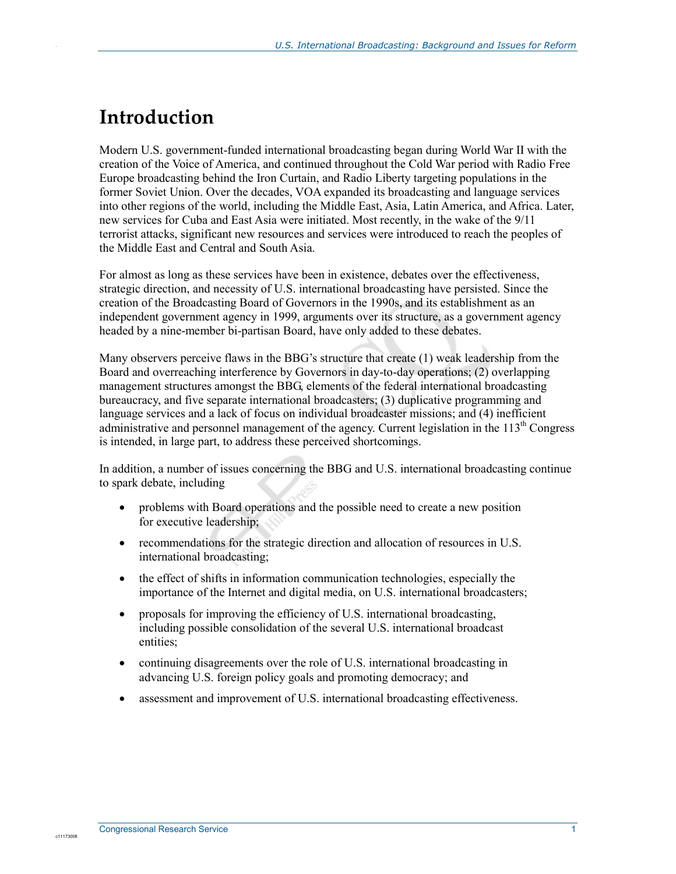## **Introduction**

.

Modern U.S. government-funded international broadcasting began during World War II with the creation of the Voice of America, and continued throughout the Cold War period with Radio Free Europe broadcasting behind the Iron Curtain, and Radio Liberty targeting populations in the former Soviet Union. Over the decades, VOA expanded its broadcasting and language services into other regions of the world, including the Middle East, Asia, Latin America, and Africa. Later, new services for Cuba and East Asia were initiated. Most recently, in the wake of the 9/11 terrorist attacks, significant new resources and services were introduced to reach the peoples of the Middle East and Central and South Asia.

For almost as long as these services have been in existence, debates over the effectiveness, strategic direction, and necessity of U.S. international broadcasting have persisted. Since the creation of the Broadcasting Board of Governors in the 1990s, and its establishment as an independent government agency in 1999, arguments over its structure, as a government agency headed by a nine-member bi-partisan Board, have only added to these debates.

Many observers perceive flaws in the BBG's structure that create (1) weak leadership from the Board and overreaching interference by Governors in day-to-day operations; (2) overlapping management structures amongst the BBG, elements of the federal international broadcasting bureaucracy, and five separate international broadcasters; (3) duplicative programming and language services and a lack of focus on individual broadcaster missions; and (4) inefficient administrative and personnel management of the agency. Current legislation in the 113<sup>th</sup> Congress is intended, in large part, to address these perceived shortcomings.

In addition, a number of issues concerning the BBG and U.S. international broadcasting continue to spark debate, including

- problems with Board operations and the possible need to create a new position for executive leadership;
- recommendations for the strategic direction and allocation of resources in U.S. international broadcasting;
- the effect of shifts in information communication technologies, especially the importance of the Internet and digital media, on U.S. international broadcasters;
- proposals for improving the efficiency of U.S. international broadcasting, including possible consolidation of the several U.S. international broadcast entities;
- continuing disagreements over the role of U.S. international broadcasting in advancing U.S. foreign policy goals and promoting democracy; and
- assessment and improvement of U.S. international broadcasting effectiveness.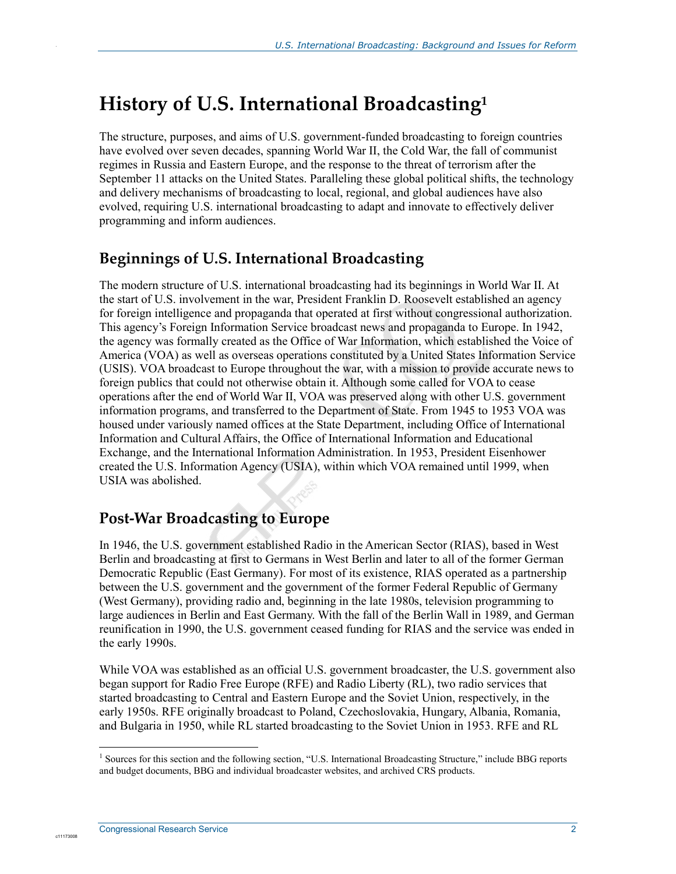## **History of U.S. International Broadcasting1**

The structure, purposes, and aims of U.S. government-funded broadcasting to foreign countries have evolved over seven decades, spanning World War II, the Cold War, the fall of communist regimes in Russia and Eastern Europe, and the response to the threat of terrorism after the September 11 attacks on the United States. Paralleling these global political shifts, the technology and delivery mechanisms of broadcasting to local, regional, and global audiences have also evolved, requiring U.S. international broadcasting to adapt and innovate to effectively deliver programming and inform audiences.

## **Beginnings of U.S. International Broadcasting**

.

The modern structure of U.S. international broadcasting had its beginnings in World War II. At the start of U.S. involvement in the war, President Franklin D. Roosevelt established an agency for foreign intelligence and propaganda that operated at first without congressional authorization. This agency's Foreign Information Service broadcast news and propaganda to Europe. In 1942, the agency was formally created as the Office of War Information, which established the Voice of America (VOA) as well as overseas operations constituted by a United States Information Service (USIS). VOA broadcast to Europe throughout the war, with a mission to provide accurate news to foreign publics that could not otherwise obtain it. Although some called for VOA to cease operations after the end of World War II, VOA was preserved along with other U.S. government information programs, and transferred to the Department of State. From 1945 to 1953 VOA was housed under variously named offices at the State Department, including Office of International Information and Cultural Affairs, the Office of International Information and Educational Exchange, and the International Information Administration. In 1953, President Eisenhower created the U.S. Information Agency (USIA), within which VOA remained until 1999, when USIA was abolished.

## **Post-War Broadcasting to Europe**

In 1946, the U.S. government established Radio in the American Sector (RIAS), based in West Berlin and broadcasting at first to Germans in West Berlin and later to all of the former German Democratic Republic (East Germany). For most of its existence, RIAS operated as a partnership between the U.S. government and the government of the former Federal Republic of Germany (West Germany), providing radio and, beginning in the late 1980s, television programming to large audiences in Berlin and East Germany. With the fall of the Berlin Wall in 1989, and German reunification in 1990, the U.S. government ceased funding for RIAS and the service was ended in the early 1990s.

While VOA was established as an official U.S. government broadcaster, the U.S. government also began support for Radio Free Europe (RFE) and Radio Liberty (RL), two radio services that started broadcasting to Central and Eastern Europe and the Soviet Union, respectively, in the early 1950s. RFE originally broadcast to Poland, Czechoslovakia, Hungary, Albania, Romania, and Bulgaria in 1950, while RL started broadcasting to the Soviet Union in 1953. RFE and RL

The sources for this section and the following section, "U.S. International Broadcasting Structure," include BBG reports and budget documents, BBG and individual broadcaster websites, and archived CRS products.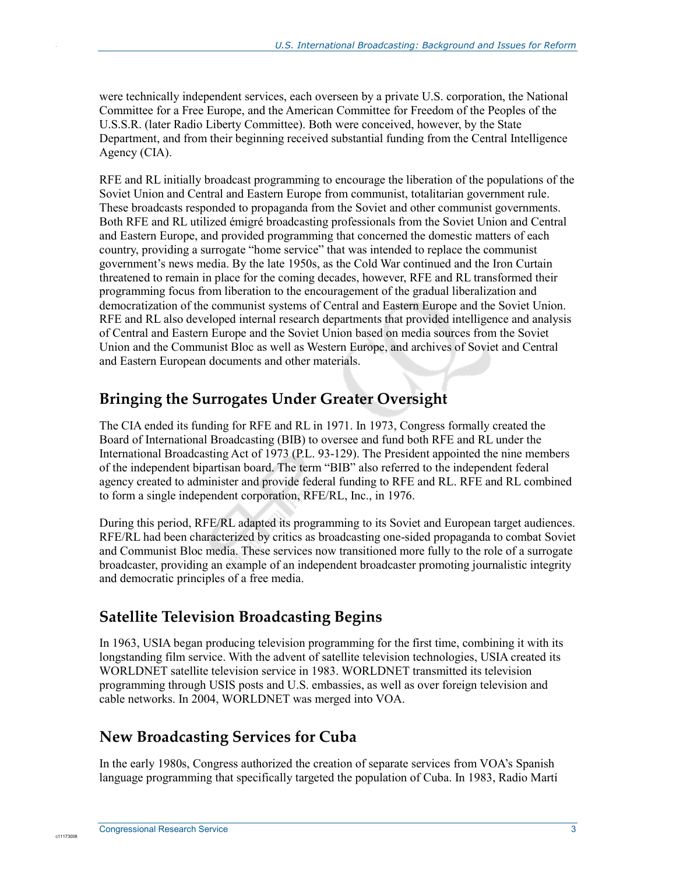were technically independent services, each overseen by a private U.S. corporation, the National Committee for a Free Europe, and the American Committee for Freedom of the Peoples of the U.S.S.R. (later Radio Liberty Committee). Both were conceived, however, by the State Department, and from their beginning received substantial funding from the Central Intelligence Agency (CIA).

RFE and RL initially broadcast programming to encourage the liberation of the populations of the Soviet Union and Central and Eastern Europe from communist, totalitarian government rule. These broadcasts responded to propaganda from the Soviet and other communist governments. Both RFE and RL utilized émigré broadcasting professionals from the Soviet Union and Central and Eastern Europe, and provided programming that concerned the domestic matters of each country, providing a surrogate "home service" that was intended to replace the communist government's news media. By the late 1950s, as the Cold War continued and the Iron Curtain threatened to remain in place for the coming decades, however, RFE and RL transformed their programming focus from liberation to the encouragement of the gradual liberalization and democratization of the communist systems of Central and Eastern Europe and the Soviet Union. RFE and RL also developed internal research departments that provided intelligence and analysis of Central and Eastern Europe and the Soviet Union based on media sources from the Soviet Union and the Communist Bloc as well as Western Europe, and archives of Soviet and Central and Eastern European documents and other materials.

## **Bringing the Surrogates Under Greater Oversight**

The CIA ended its funding for RFE and RL in 1971. In 1973, Congress formally created the Board of International Broadcasting (BIB) to oversee and fund both RFE and RL under the International Broadcasting Act of 1973 (P.L. 93-129). The President appointed the nine members of the independent bipartisan board. The term "BIB" also referred to the independent federal agency created to administer and provide federal funding to RFE and RL. RFE and RL combined to form a single independent corporation, RFE/RL, Inc., in 1976.

During this period, RFE/RL adapted its programming to its Soviet and European target audiences. RFE/RL had been characterized by critics as broadcasting one-sided propaganda to combat Soviet and Communist Bloc media. These services now transitioned more fully to the role of a surrogate broadcaster, providing an example of an independent broadcaster promoting journalistic integrity and democratic principles of a free media.

## **Satellite Television Broadcasting Begins**

In 1963, USIA began producing television programming for the first time, combining it with its longstanding film service. With the advent of satellite television technologies, USIA created its WORLDNET satellite television service in 1983. WORLDNET transmitted its television programming through USIS posts and U.S. embassies, as well as over foreign television and cable networks. In 2004, WORLDNET was merged into VOA.

## **New Broadcasting Services for Cuba**

In the early 1980s, Congress authorized the creation of separate services from VOA's Spanish language programming that specifically targeted the population of Cuba. In 1983, Radio Martí

c1117300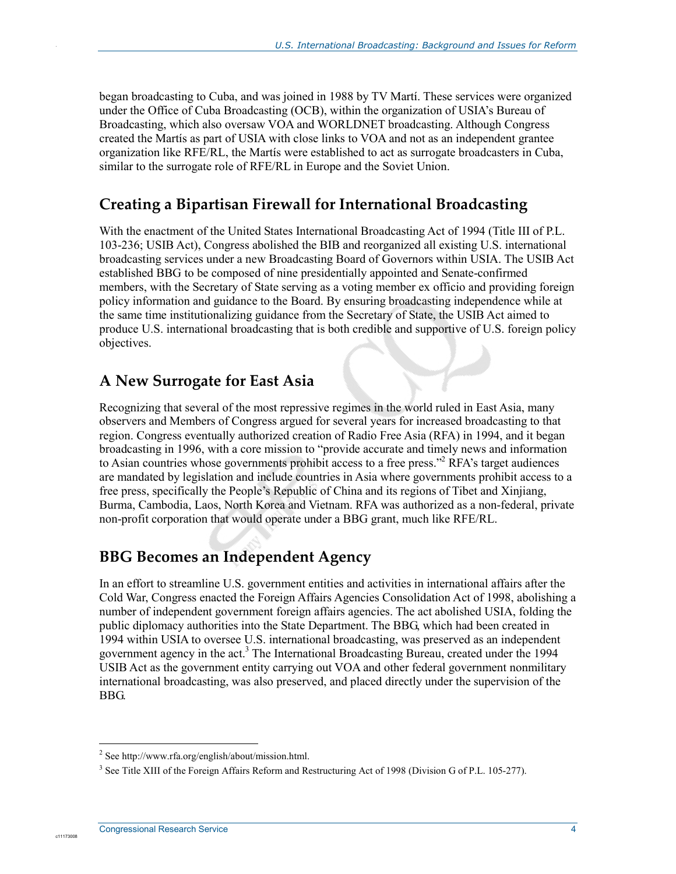began broadcasting to Cuba, and was joined in 1988 by TV Martí. These services were organized under the Office of Cuba Broadcasting (OCB), within the organization of USIA's Bureau of Broadcasting, which also oversaw VOA and WORLDNET broadcasting. Although Congress created the Martís as part of USIA with close links to VOA and not as an independent grantee organization like RFE/RL, the Martís were established to act as surrogate broadcasters in Cuba, similar to the surrogate role of RFE/RL in Europe and the Soviet Union.

## **Creating a Bipartisan Firewall for International Broadcasting**

With the enactment of the United States International Broadcasting Act of 1994 (Title III of P.L. 103-236; USIB Act), Congress abolished the BIB and reorganized all existing U.S. international broadcasting services under a new Broadcasting Board of Governors within USIA. The USIB Act established BBG to be composed of nine presidentially appointed and Senate-confirmed members, with the Secretary of State serving as a voting member ex officio and providing foreign policy information and guidance to the Board. By ensuring broadcasting independence while at the same time institutionalizing guidance from the Secretary of State, the USIB Act aimed to produce U.S. international broadcasting that is both credible and supportive of U.S. foreign policy objectives.

## **A New Surrogate for East Asia**

.

Recognizing that several of the most repressive regimes in the world ruled in East Asia, many observers and Members of Congress argued for several years for increased broadcasting to that region. Congress eventually authorized creation of Radio Free Asia (RFA) in 1994, and it began broadcasting in 1996, with a core mission to "provide accurate and timely news and information to Asian countries whose governments prohibit access to a free press."<sup>2</sup> RFA's target audiences are mandated by legislation and include countries in Asia where governments prohibit access to a free press, specifically the People's Republic of China and its regions of Tibet and Xinjiang, Burma, Cambodia, Laos, North Korea and Vietnam. RFA was authorized as a non-federal, private non-profit corporation that would operate under a BBG grant, much like RFE/RL.

## **BBG Becomes an Independent Agency**

In an effort to streamline U.S. government entities and activities in international affairs after the Cold War, Congress enacted the Foreign Affairs Agencies Consolidation Act of 1998, abolishing a number of independent government foreign affairs agencies. The act abolished USIA, folding the public diplomacy authorities into the State Department. The BBG, which had been created in 1994 within USIA to oversee U.S. international broadcasting, was preserved as an independent government agency in the act.<sup>3</sup> The International Broadcasting Bureau, created under the 1994 USIB Act as the government entity carrying out VOA and other federal government nonmilitary international broadcasting, was also preserved, and placed directly under the supervision of the BBG.

<sup>-&</sup>lt;br><sup>2</sup> See http://www.rfa.org/english/about/mission.html.

<sup>&</sup>lt;sup>3</sup> See Title XIII of the Foreign Affairs Reform and Restructuring Act of 1998 (Division G of P.L. 105-277).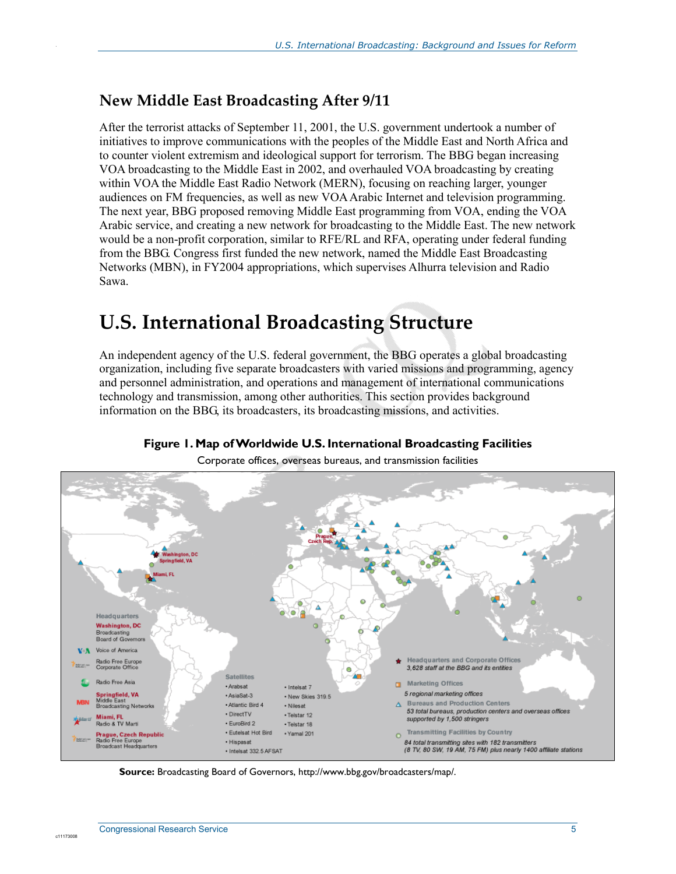## **New Middle East Broadcasting After 9/11**

.

After the terrorist attacks of September 11, 2001, the U.S. government undertook a number of initiatives to improve communications with the peoples of the Middle East and North Africa and to counter violent extremism and ideological support for terrorism. The BBG began increasing VOA broadcasting to the Middle East in 2002, and overhauled VOA broadcasting by creating within VOA the Middle East Radio Network (MERN), focusing on reaching larger, younger audiences on FM frequencies, as well as new VOA Arabic Internet and television programming. The next year, BBG proposed removing Middle East programming from VOA, ending the VOA Arabic service, and creating a new network for broadcasting to the Middle East. The new network would be a non-profit corporation, similar to RFE/RL and RFA, operating under federal funding from the BBG. Congress first funded the new network, named the Middle East Broadcasting Networks (MBN), in FY2004 appropriations, which supervises Alhurra television and Radio Sawa.

## **U.S. International Broadcasting Structure**

An independent agency of the U.S. federal government, the BBG operates a global broadcasting organization, including five separate broadcasters with varied missions and programming, agency and personnel administration, and operations and management of international communications technology and transmission, among other authorities. This section provides background information on the BBG, its broadcasters, its broadcasting missions, and activities.



**Figure 1. Map of Worldwide U.S. International Broadcasting Facilities** 

Corporate offices, overseas bureaus, and transmission facilities

**Source:** Broadcasting Board of Governors, http://www.bbg.gov/broadcasters/map/.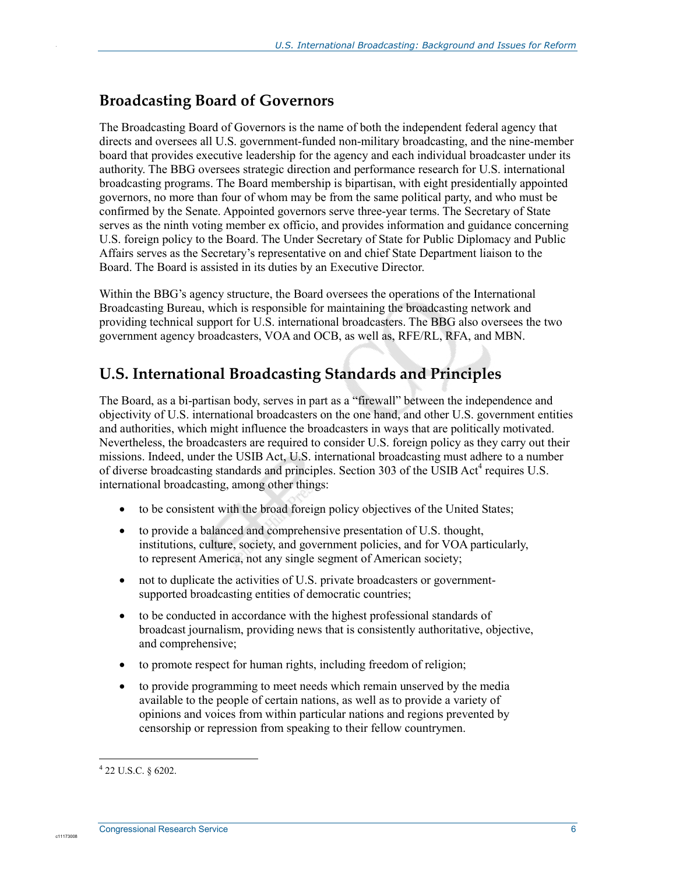## **Broadcasting Board of Governors**

The Broadcasting Board of Governors is the name of both the independent federal agency that directs and oversees all U.S. government-funded non-military broadcasting, and the nine-member board that provides executive leadership for the agency and each individual broadcaster under its authority. The BBG oversees strategic direction and performance research for U.S. international broadcasting programs. The Board membership is bipartisan, with eight presidentially appointed governors, no more than four of whom may be from the same political party, and who must be confirmed by the Senate. Appointed governors serve three-year terms. The Secretary of State serves as the ninth voting member ex officio, and provides information and guidance concerning U.S. foreign policy to the Board. The Under Secretary of State for Public Diplomacy and Public Affairs serves as the Secretary's representative on and chief State Department liaison to the Board. The Board is assisted in its duties by an Executive Director.

Within the BBG's agency structure, the Board oversees the operations of the International Broadcasting Bureau, which is responsible for maintaining the broadcasting network and providing technical support for U.S. international broadcasters. The BBG also oversees the two government agency broadcasters, VOA and OCB, as well as, RFE/RL, RFA, and MBN.

## **U.S. International Broadcasting Standards and Principles**

The Board, as a bi-partisan body, serves in part as a "firewall" between the independence and objectivity of U.S. international broadcasters on the one hand, and other U.S. government entities and authorities, which might influence the broadcasters in ways that are politically motivated. Nevertheless, the broadcasters are required to consider U.S. foreign policy as they carry out their missions. Indeed, under the USIB Act, U.S. international broadcasting must adhere to a number of diverse broadcasting standards and principles. Section 303 of the USIB Act<sup>4</sup> requires U.S. international broadcasting, among other things:

- to be consistent with the broad foreign policy objectives of the United States;
- to provide a balanced and comprehensive presentation of U.S. thought, institutions, culture, society, and government policies, and for VOA particularly, to represent America, not any single segment of American society;
- not to duplicate the activities of U.S. private broadcasters or governmentsupported broadcasting entities of democratic countries;
- to be conducted in accordance with the highest professional standards of broadcast journalism, providing news that is consistently authoritative, objective, and comprehensive;
- to promote respect for human rights, including freedom of religion;
- to provide programming to meet needs which remain unserved by the media available to the people of certain nations, as well as to provide a variety of opinions and voices from within particular nations and regions prevented by censorship or repression from speaking to their fellow countrymen.

 4 22 U.S.C. § 6202.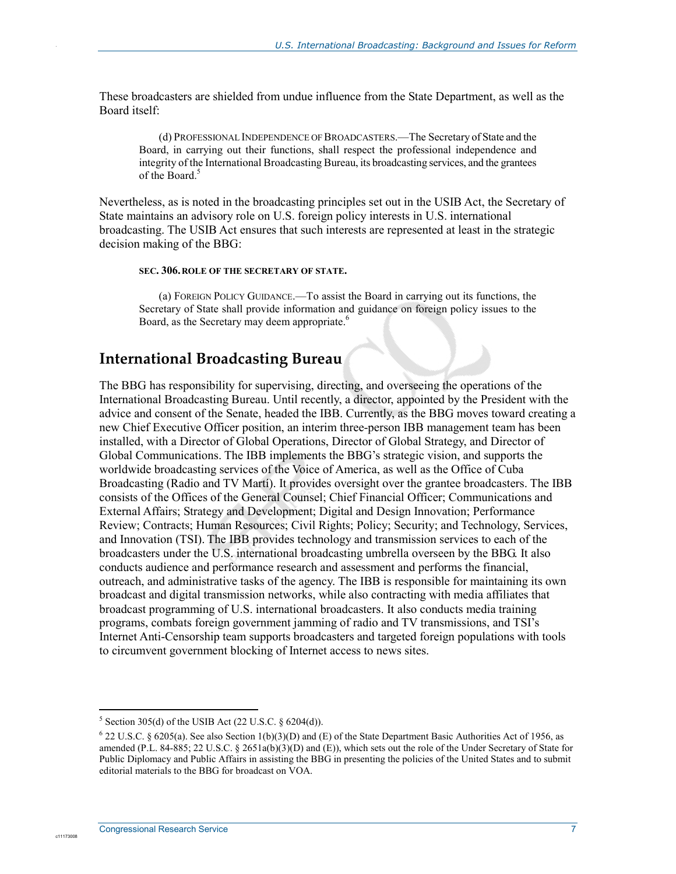These broadcasters are shielded from undue influence from the State Department, as well as the Board itself:

(d) PROFESSIONAL INDEPENDENCE OF BROADCASTERS.—The Secretary of State and the Board, in carrying out their functions, shall respect the professional independence and integrity of the International Broadcasting Bureau, its broadcasting services, and the grantees of the Board.<sup>5</sup>

Nevertheless, as is noted in the broadcasting principles set out in the USIB Act, the Secretary of State maintains an advisory role on U.S. foreign policy interests in U.S. international broadcasting. The USIB Act ensures that such interests are represented at least in the strategic decision making of the BBG:

#### **SEC. 306.ROLE OF THE SECRETARY OF STATE.**

(a) FOREIGN POLICY GUIDANCE.—To assist the Board in carrying out its functions, the Secretary of State shall provide information and guidance on foreign policy issues to the Board, as the Secretary may deem appropriate.<sup>6</sup>

### **International Broadcasting Bureau**

The BBG has responsibility for supervising, directing, and overseeing the operations of the International Broadcasting Bureau. Until recently, a director, appointed by the President with the advice and consent of the Senate, headed the IBB. Currently, as the BBG moves toward creating a new Chief Executive Officer position, an interim three-person IBB management team has been installed, with a Director of Global Operations, Director of Global Strategy, and Director of Global Communications. The IBB implements the BBG's strategic vision, and supports the worldwide broadcasting services of the Voice of America, as well as the Office of Cuba Broadcasting (Radio and TV Martí). It provides oversight over the grantee broadcasters. The IBB consists of the Offices of the General Counsel; Chief Financial Officer; Communications and External Affairs; Strategy and Development; Digital and Design Innovation; Performance Review; Contracts; Human Resources; Civil Rights; Policy; Security; and Technology, Services, and Innovation (TSI). The IBB provides technology and transmission services to each of the broadcasters under the U.S. international broadcasting umbrella overseen by the BBG. It also conducts audience and performance research and assessment and performs the financial, outreach, and administrative tasks of the agency. The IBB is responsible for maintaining its own broadcast and digital transmission networks, while also contracting with media affiliates that broadcast programming of U.S. international broadcasters. It also conducts media training programs, combats foreign government jamming of radio and TV transmissions, and TSI's Internet Anti-Censorship team supports broadcasters and targeted foreign populations with tools to circumvent government blocking of Internet access to news sites.

1

c1117300

 $5$  Section 305(d) of the USIB Act (22 U.S.C.  $\S$  6204(d)).

 $622$  U.S.C. § 6205(a). See also Section 1(b)(3)(D) and (E) of the State Department Basic Authorities Act of 1956, as amended (P.L. 84-885; 22 U.S.C. § 2651a(b)(3)(D) and (E)), which sets out the role of the Under Secretary of State for Public Diplomacy and Public Affairs in assisting the BBG in presenting the policies of the United States and to submit editorial materials to the BBG for broadcast on VOA.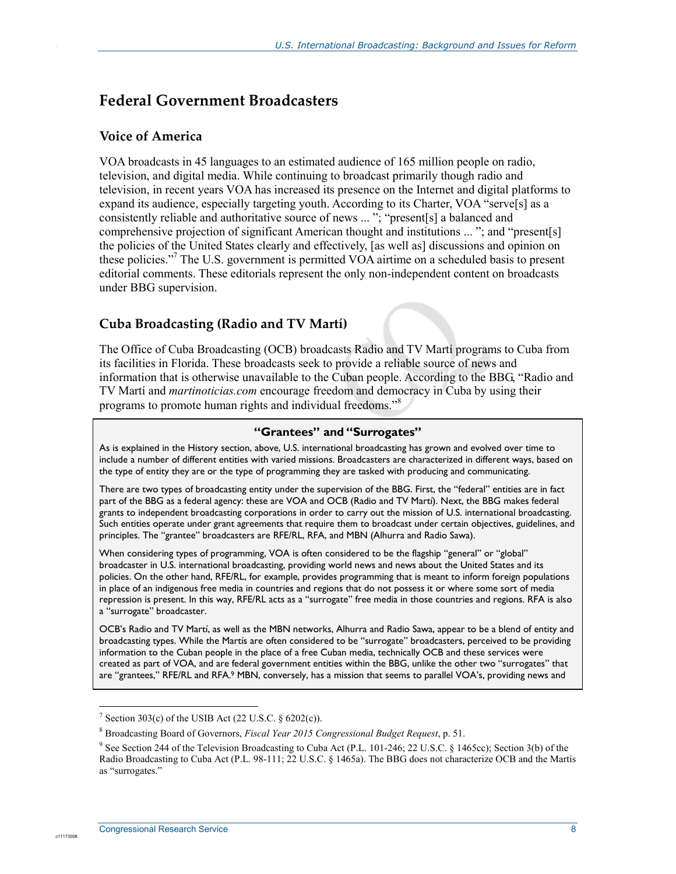### **Federal Government Broadcasters**

#### **Voice of America**

.

VOA broadcasts in 45 languages to an estimated audience of 165 million people on radio, television, and digital media. While continuing to broadcast primarily though radio and television, in recent years VOA has increased its presence on the Internet and digital platforms to expand its audience, especially targeting youth. According to its Charter, VOA "serve[s] as a consistently reliable and authoritative source of news ... "; "present[s] a balanced and comprehensive projection of significant American thought and institutions ... "; and "present[s] the policies of the United States clearly and effectively, [as well as] discussions and opinion on these policies."7 The U.S. government is permitted VOA airtime on a scheduled basis to present editorial comments. These editorials represent the only non-independent content on broadcasts under BBG supervision.

#### **Cuba Broadcasting (Radio and TV Martí)**

The Office of Cuba Broadcasting (OCB) broadcasts Radio and TV Martí programs to Cuba from its facilities in Florida. These broadcasts seek to provide a reliable source of news and information that is otherwise unavailable to the Cuban people. According to the BBG, "Radio and TV Martí and *martinoticias.com* encourage freedom and democracy in Cuba by using their programs to promote human rights and individual freedoms."<sup>8</sup>

#### **"Grantees" and "Surrogates"**

As is explained in the History section, above, U.S. international broadcasting has grown and evolved over time to include a number of different entities with varied missions. Broadcasters are characterized in different ways, based on the type of entity they are or the type of programming they are tasked with producing and communicating.

There are two types of broadcasting entity under the supervision of the BBG. First, the "federal" entities are in fact part of the BBG as a federal agency: these are VOA and OCB (Radio and TV Martí). Next, the BBG makes federal grants to independent broadcasting corporations in order to carry out the mission of U.S. international broadcasting. Such entities operate under grant agreements that require them to broadcast under certain objectives, guidelines, and principles. The "grantee" broadcasters are RFE/RL, RFA, and MBN (Alhurra and Radio Sawa).

When considering types of programming, VOA is often considered to be the flagship "general" or "global" broadcaster in U.S. international broadcasting, providing world news and news about the United States and its policies. On the other hand, RFE/RL, for example, provides programming that is meant to inform foreign populations in place of an indigenous free media in countries and regions that do not possess it or where some sort of media repression is present. In this way, RFE/RL acts as a "surrogate" free media in those countries and regions. RFA is also a "surrogate" broadcaster.

OCB's Radio and TV Martí, as well as the MBN networks, Alhurra and Radio Sawa, appear to be a blend of entity and broadcasting types. While the Martís are often considered to be "surrogate" broadcasters, perceived to be providing information to the Cuban people in the place of a free Cuban media, technically OCB and these services were created as part of VOA, and are federal government entities within the BBG, unlike the other two "surrogates" that are "grantees," RFE/RL and RFA.9 MBN, conversely, has a mission that seems to parallel VOA's, providing news and

1

<sup>&</sup>lt;sup>7</sup> Section 303(c) of the USIB Act (22 U.S.C.  $\S$  6202(c)).

<sup>8</sup> Broadcasting Board of Governors, *Fiscal Year 2015 Congressional Budget Request*, p. 51.

<sup>&</sup>lt;sup>9</sup> See Section 244 of the Television Broadcasting to Cuba Act (P.L. 101-246; 22 U.S.C. § 1465cc); Section 3(b) of the Radio Broadcasting to Cuba Act (P.L. 98-111; 22 U.S.C. § 1465a). The BBG does not characterize OCB and the Martís as "surrogates."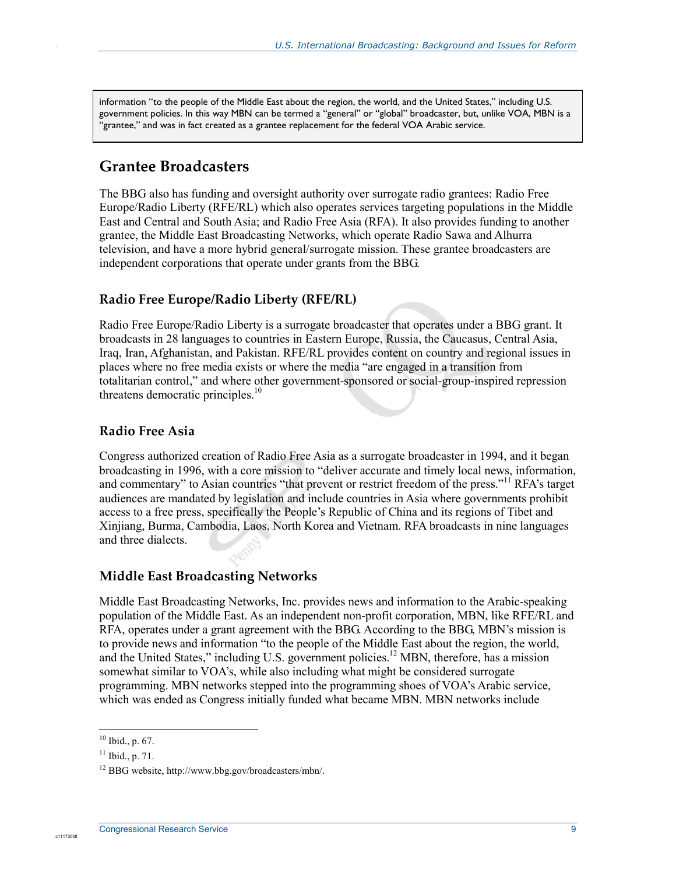information "to the people of the Middle East about the region, the world, and the United States," including U.S. government policies. In this way MBN can be termed a "general" or "global" broadcaster, but, unlike VOA, MBN is a "grantee," and was in fact created as a grantee replacement for the federal VOA Arabic service.

#### **Grantee Broadcasters**

.

The BBG also has funding and oversight authority over surrogate radio grantees: Radio Free Europe/Radio Liberty (RFE/RL) which also operates services targeting populations in the Middle East and Central and South Asia; and Radio Free Asia (RFA). It also provides funding to another grantee, the Middle East Broadcasting Networks, which operate Radio Sawa and Alhurra television, and have a more hybrid general/surrogate mission. These grantee broadcasters are independent corporations that operate under grants from the BBG.

#### **Radio Free Europe/Radio Liberty (RFE/RL)**

Radio Free Europe/Radio Liberty is a surrogate broadcaster that operates under a BBG grant. It broadcasts in 28 languages to countries in Eastern Europe, Russia, the Caucasus, Central Asia, Iraq, Iran, Afghanistan, and Pakistan. RFE/RL provides content on country and regional issues in places where no free media exists or where the media "are engaged in a transition from totalitarian control," and where other government-sponsored or social-group-inspired repression threatens democratic principles.<sup>10</sup>

#### **Radio Free Asia**

Congress authorized creation of Radio Free Asia as a surrogate broadcaster in 1994, and it began broadcasting in 1996, with a core mission to "deliver accurate and timely local news, information, and commentary" to Asian countries "that prevent or restrict freedom of the press."<sup>11</sup> RFA's target audiences are mandated by legislation and include countries in Asia where governments prohibit access to a free press, specifically the People's Republic of China and its regions of Tibet and Xinjiang, Burma, Cambodia, Laos, North Korea and Vietnam. RFA broadcasts in nine languages and three dialects.

#### **Middle East Broadcasting Networks**

Middle East Broadcasting Networks, Inc. provides news and information to the Arabic-speaking population of the Middle East. As an independent non-profit corporation, MBN, like RFE/RL and RFA, operates under a grant agreement with the BBG. According to the BBG, MBN's mission is to provide news and information "to the people of the Middle East about the region, the world, and the United States," including U.S. government policies.<sup>12</sup> MBN, therefore, has a mission somewhat similar to VOA's, while also including what might be considered surrogate programming. MBN networks stepped into the programming shoes of VOA's Arabic service, which was ended as Congress initially funded what became MBN. MBN networks include

1

 $10$  Ibid., p. 67.

 $11$  Ibid., p. 71.

<sup>12</sup> BBG website, http://www.bbg.gov/broadcasters/mbn/.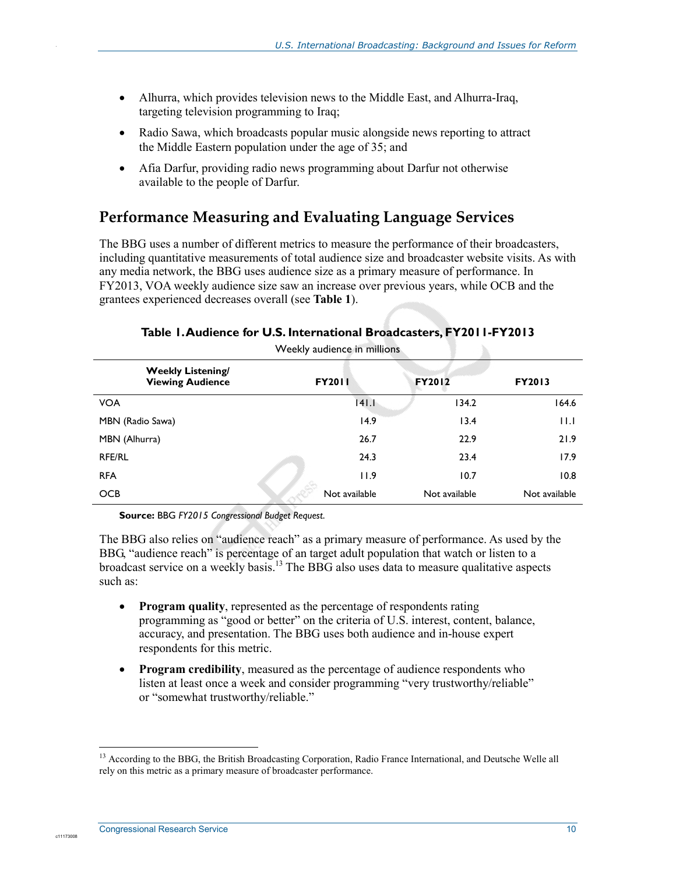- Alhurra, which provides television news to the Middle East, and Alhurra-Iraq, targeting television programming to Iraq;
- Radio Sawa, which broadcasts popular music alongside news reporting to attract the Middle Eastern population under the age of 35; and
- Afia Darfur, providing radio news programming about Darfur not otherwise available to the people of Darfur.

## **Performance Measuring and Evaluating Language Services**

The BBG uses a number of different metrics to measure the performance of their broadcasters, including quantitative measurements of total audience size and broadcaster website visits. As with any media network, the BBG uses audience size as a primary measure of performance. In FY2013, VOA weekly audience size saw an increase over previous years, while OCB and the grantees experienced decreases overall (see **Table 1**).

| <b>Weekly Listening/</b><br><b>Viewing Audience</b> | <b>FY2011</b> | <b>FY2012</b> | <b>FY2013</b> |  |
|-----------------------------------------------------|---------------|---------------|---------------|--|
| <b>VOA</b>                                          | 141.I         | 134.2         | 164.6         |  |
| MBN (Radio Sawa)                                    | 14.9          | 13.4          | 11.I          |  |
| MBN (Alhurra)                                       | 26.7          | 22.9          | 21.9          |  |
| <b>RFE/RL</b>                                       | 24.3          | 23.4          | 17.9          |  |
| <b>RFA</b>                                          | 11.9          | 10.7          | 10.8          |  |
| <b>OCB</b>                                          | Not available | Not available | Not available |  |

#### **Table 1. Audience for U.S. International Broadcasters, FY2011-FY2013**  Weekly audience in millions

**Source:** BBG *FY2015 Congressional Budget Request*.

The BBG also relies on "audience reach" as a primary measure of performance. As used by the BBG, "audience reach" is percentage of an target adult population that watch or listen to a broadcast service on a weekly basis.<sup>13</sup> The BBG also uses data to measure qualitative aspects such as:

- **Program quality**, represented as the percentage of respondents rating programming as "good or better" on the criteria of U.S. interest, content, balance, accuracy, and presentation. The BBG uses both audience and in-house expert respondents for this metric.
- **Program credibility**, measured as the percentage of audience respondents who listen at least once a week and consider programming "very trustworthy/reliable" or "somewhat trustworthy/reliable."

1

c1117300

<sup>&</sup>lt;sup>13</sup> According to the BBG, the British Broadcasting Corporation, Radio France International, and Deutsche Welle all rely on this metric as a primary measure of broadcaster performance.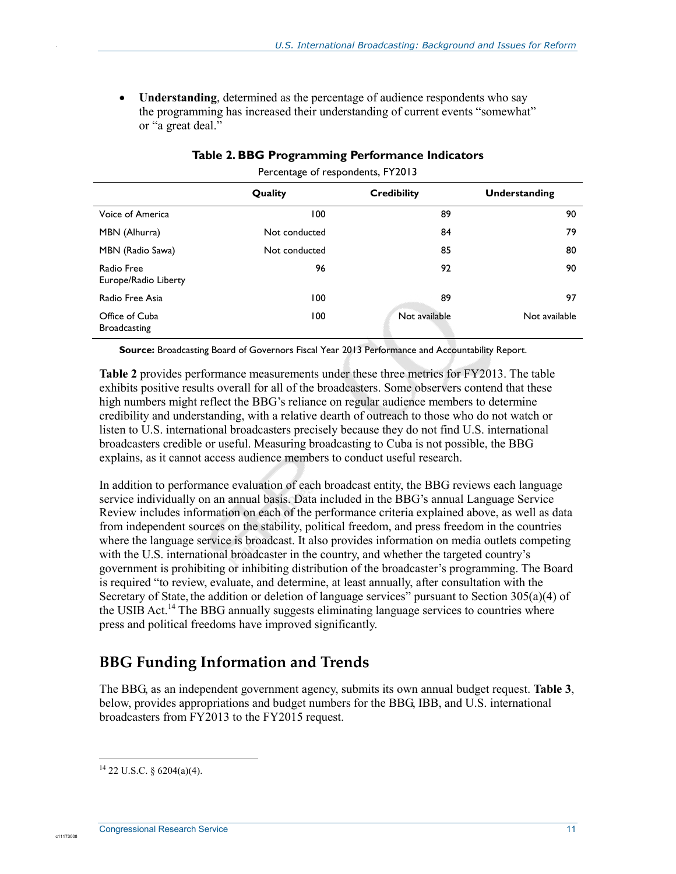• **Understanding**, determined as the percentage of audience respondents who say the programming has increased their understanding of current events "somewhat" or "a great deal."

|                                       | Quality       | <b>Credibility</b> | Understanding |
|---------------------------------------|---------------|--------------------|---------------|
| Voice of America                      | 100           | 89                 | 90            |
| MBN (Alhurra)                         | Not conducted | 84                 | 79            |
| MBN (Radio Sawa)                      | Not conducted | 85                 | 80            |
| Radio Free<br>Europe/Radio Liberty    | 96            | 92                 | 90            |
| Radio Free Asia                       | 100           | 89                 | 97            |
| Office of Cuba<br><b>Broadcasting</b> | 100           | Not available      | Not available |

Percentage of respondents, FY2013

**Source:** Broadcasting Board of Governors Fiscal Year 2013 Performance and Accountability Report.

**Table 2** provides performance measurements under these three metrics for FY2013. The table exhibits positive results overall for all of the broadcasters. Some observers contend that these high numbers might reflect the BBG's reliance on regular audience members to determine credibility and understanding, with a relative dearth of outreach to those who do not watch or listen to U.S. international broadcasters precisely because they do not find U.S. international broadcasters credible or useful. Measuring broadcasting to Cuba is not possible, the BBG explains, as it cannot access audience members to conduct useful research.

In addition to performance evaluation of each broadcast entity, the BBG reviews each language service individually on an annual basis. Data included in the BBG's annual Language Service Review includes information on each of the performance criteria explained above, as well as data from independent sources on the stability, political freedom, and press freedom in the countries where the language service is broadcast. It also provides information on media outlets competing with the U.S. international broadcaster in the country, and whether the targeted country's government is prohibiting or inhibiting distribution of the broadcaster's programming. The Board is required "to review, evaluate, and determine, at least annually, after consultation with the Secretary of State, the addition or deletion of language services" pursuant to Section 305(a)(4) of the USIB Act.<sup>14</sup> The BBG annually suggests eliminating language services to countries where press and political freedoms have improved significantly.

## **BBG Funding Information and Trends**

The BBG, as an independent government agency, submits its own annual budget request. **Table 3**, below, provides appropriations and budget numbers for the BBG, IBB, and U.S. international broadcasters from FY2013 to the FY2015 request.

.

<u>.</u>

 $14$  22 U.S.C. § 6204(a)(4).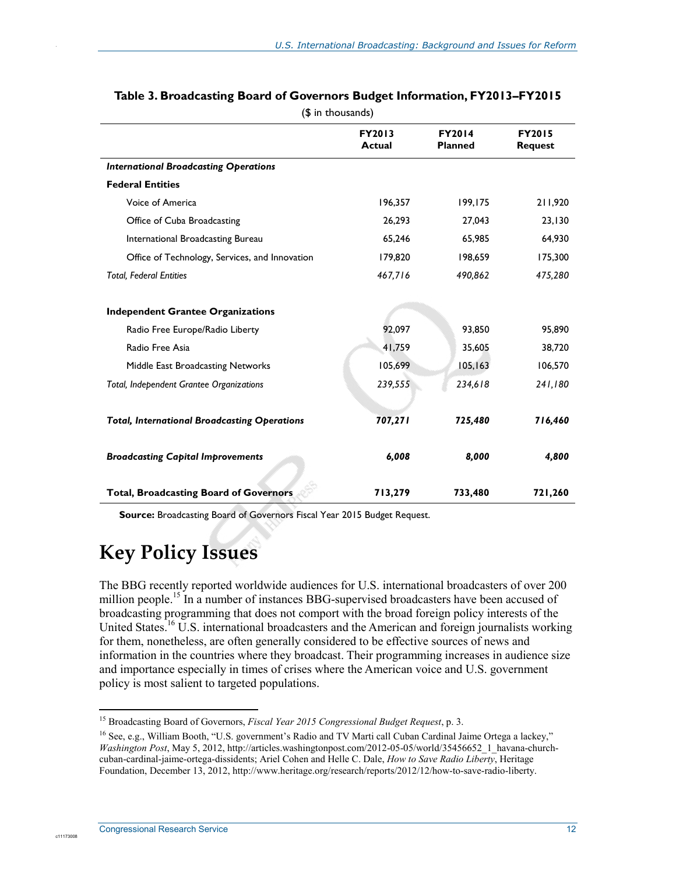|                                                     | FY2013<br><b>Actual</b> | <b>FY2014</b><br><b>Planned</b> | <b>FY2015</b><br><b>Request</b> |
|-----------------------------------------------------|-------------------------|---------------------------------|---------------------------------|
| <b>International Broadcasting Operations</b>        |                         |                                 |                                 |
| <b>Federal Entities</b>                             |                         |                                 |                                 |
| Voice of America                                    | 196,357                 | 199,175                         | 211,920                         |
| Office of Cuba Broadcasting                         | 26,293                  | 27,043                          | 23,130                          |
| International Broadcasting Bureau                   | 65,246                  | 65,985                          | 64,930                          |
| Office of Technology, Services, and Innovation      | 179,820                 | 198,659                         | 175,300                         |
| <b>Total, Federal Entities</b>                      | 467,716                 | 490,862                         | 475,280                         |
| <b>Independent Grantee Organizations</b>            |                         |                                 |                                 |
| Radio Free Europe/Radio Liberty                     | 92,097                  | 93,850                          | 95,890                          |
| Radio Free Asia                                     | 41,759                  | 35,605                          | 38,720                          |
| Middle East Broadcasting Networks                   | 105,699                 | 105, 163                        | 106,570                         |
| Total, Independent Grantee Organizations            | 239,555                 | 234,618                         | 241,180                         |
| <b>Total, International Broadcasting Operations</b> | 707,271                 | 725,480                         | 716,460                         |
| <b>Broadcasting Capital Improvements</b>            | 6,008                   | 8,000                           | 4,800                           |
| <b>Total, Broadcasting Board of Governors</b>       | 713,279                 | 733,480                         | 721,260                         |

#### **Table 3. Broadcasting Board of Governors Budget Information, FY2013–FY2015**  (\$ in thousands)

**Source:** Broadcasting Board of Governors Fiscal Year 2015 Budget Request.

## **Key Policy Issues**

The BBG recently reported worldwide audiences for U.S. international broadcasters of over 200 million people.<sup>15</sup> In a number of instances BBG-supervised broadcasters have been accused of broadcasting programming that does not comport with the broad foreign policy interests of the United States.16 U.S. international broadcasters and the American and foreign journalists working for them, nonetheless, are often generally considered to be effective sources of news and information in the countries where they broadcast. Their programming increases in audience size and importance especially in times of crises where the American voice and U.S. government policy is most salient to targeted populations.

1

c11173008

<sup>15</sup> Broadcasting Board of Governors, *Fiscal Year 2015 Congressional Budget Request*, p. 3.

<sup>&</sup>lt;sup>16</sup> See, e.g., William Booth, "U.S. government's Radio and TV Marti call Cuban Cardinal Jaime Ortega a lackey," *Washington Post*, May 5, 2012, http://articles.washingtonpost.com/2012-05-05/world/35456652\_1\_havana-churchcuban-cardinal-jaime-ortega-dissidents; Ariel Cohen and Helle C. Dale, *How to Save Radio Liberty*, Heritage Foundation, December 13, 2012, http://www.heritage.org/research/reports/2012/12/how-to-save-radio-liberty.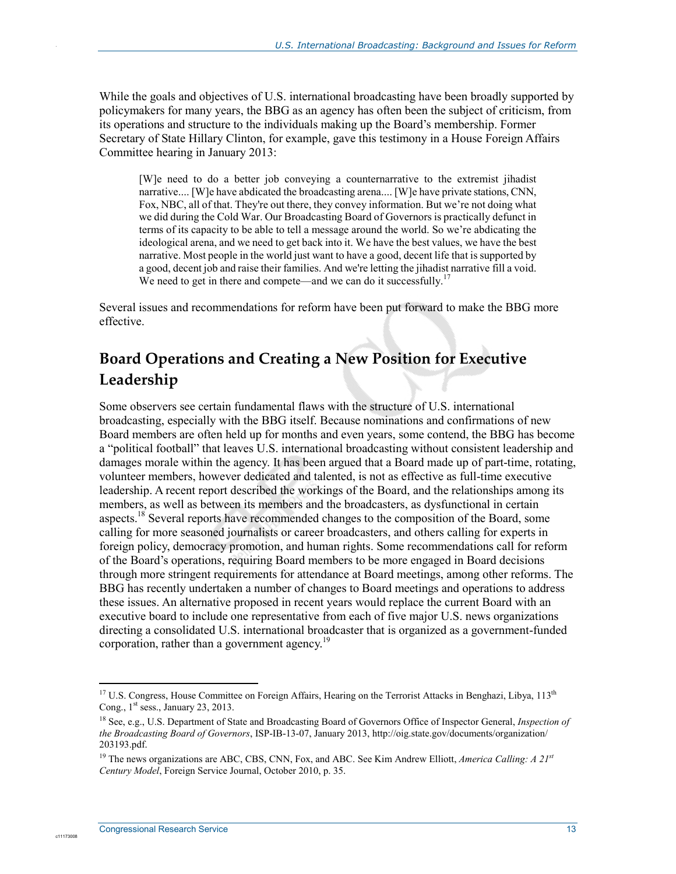While the goals and objectives of U.S. international broadcasting have been broadly supported by policymakers for many years, the BBG as an agency has often been the subject of criticism, from its operations and structure to the individuals making up the Board's membership. Former Secretary of State Hillary Clinton, for example, gave this testimony in a House Foreign Affairs Committee hearing in January 2013:

[W]e need to do a better job conveying a counternarrative to the extremist jihadist narrative.... [W]e have abdicated the broadcasting arena.... [W]e have private stations, CNN, Fox, NBC, all of that. They're out there, they convey information. But we're not doing what we did during the Cold War. Our Broadcasting Board of Governors is practically defunct in terms of its capacity to be able to tell a message around the world. So we're abdicating the ideological arena, and we need to get back into it. We have the best values, we have the best narrative. Most people in the world just want to have a good, decent life that is supported by a good, decent job and raise their families. And we're letting the jihadist narrative fill a void. We need to get in there and compete—and we can do it successfully.<sup>17</sup>

Several issues and recommendations for reform have been put forward to make the BBG more effective.

## **Board Operations and Creating a New Position for Executive Leadership**

Some observers see certain fundamental flaws with the structure of U.S. international broadcasting, especially with the BBG itself. Because nominations and confirmations of new Board members are often held up for months and even years, some contend, the BBG has become a "political football" that leaves U.S. international broadcasting without consistent leadership and damages morale within the agency. It has been argued that a Board made up of part-time, rotating, volunteer members, however dedicated and talented, is not as effective as full-time executive leadership. A recent report described the workings of the Board, and the relationships among its members, as well as between its members and the broadcasters, as dysfunctional in certain aspects.<sup>18</sup> Several reports have recommended changes to the composition of the Board, some calling for more seasoned journalists or career broadcasters, and others calling for experts in foreign policy, democracy promotion, and human rights. Some recommendations call for reform of the Board's operations, requiring Board members to be more engaged in Board decisions through more stringent requirements for attendance at Board meetings, among other reforms. The BBG has recently undertaken a number of changes to Board meetings and operations to address these issues. An alternative proposed in recent years would replace the current Board with an executive board to include one representative from each of five major U.S. news organizations directing a consolidated U.S. international broadcaster that is organized as a government-funded corporation, rather than a government agency.<sup>19</sup>

1

c11173008

<sup>&</sup>lt;sup>17</sup> U.S. Congress, House Committee on Foreign Affairs, Hearing on the Terrorist Attacks in Benghazi, Libya, 113<sup>th</sup> Cong.,  $1<sup>st</sup>$  sess., January 23, 2013.

<sup>18</sup> See, e.g., U.S. Department of State and Broadcasting Board of Governors Office of Inspector General, *Inspection of the Broadcasting Board of Governors*, ISP-IB-13-07, January 2013, http://oig.state.gov/documents/organization/ 203193.pdf.

<sup>19</sup> The news organizations are ABC, CBS, CNN, Fox, and ABC. See Kim Andrew Elliott, *America Calling: A 21st Century Model*, Foreign Service Journal, October 2010, p. 35.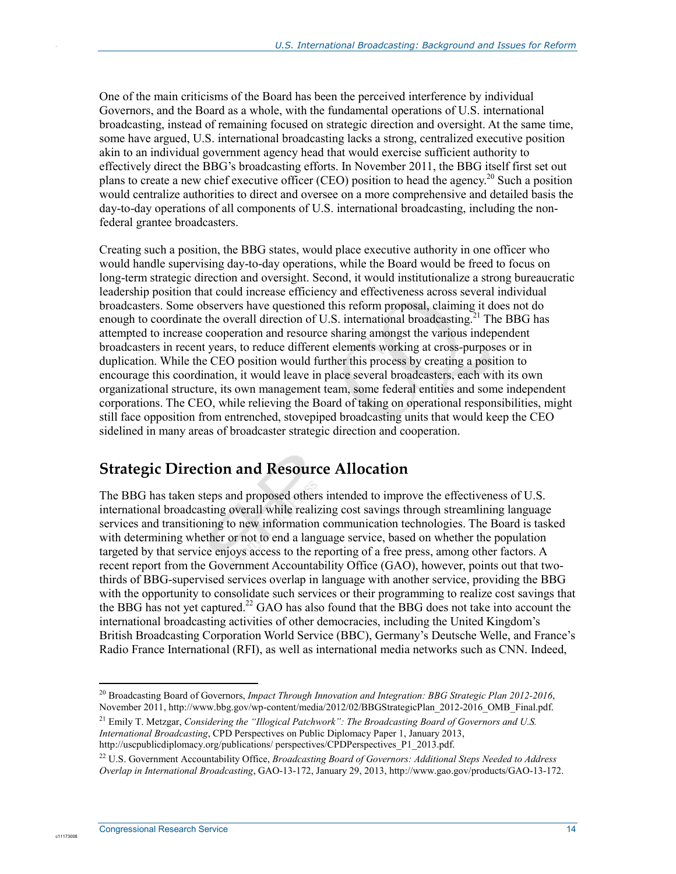One of the main criticisms of the Board has been the perceived interference by individual Governors, and the Board as a whole, with the fundamental operations of U.S. international broadcasting, instead of remaining focused on strategic direction and oversight. At the same time, some have argued, U.S. international broadcasting lacks a strong, centralized executive position akin to an individual government agency head that would exercise sufficient authority to effectively direct the BBG's broadcasting efforts. In November 2011, the BBG itself first set out plans to create a new chief executive officer (CEO) position to head the agency.<sup>20</sup> Such a position would centralize authorities to direct and oversee on a more comprehensive and detailed basis the day-to-day operations of all components of U.S. international broadcasting, including the nonfederal grantee broadcasters.

Creating such a position, the BBG states, would place executive authority in one officer who would handle supervising day-to-day operations, while the Board would be freed to focus on long-term strategic direction and oversight. Second, it would institutionalize a strong bureaucratic leadership position that could increase efficiency and effectiveness across several individual broadcasters. Some observers have questioned this reform proposal, claiming it does not do enough to coordinate the overall direction of U.S. international broadcasting.<sup>21</sup> The BBG has attempted to increase cooperation and resource sharing amongst the various independent broadcasters in recent years, to reduce different elements working at cross-purposes or in duplication. While the CEO position would further this process by creating a position to encourage this coordination, it would leave in place several broadcasters, each with its own organizational structure, its own management team, some federal entities and some independent corporations. The CEO, while relieving the Board of taking on operational responsibilities, might still face opposition from entrenched, stovepiped broadcasting units that would keep the CEO sidelined in many areas of broadcaster strategic direction and cooperation.

## **Strategic Direction and Resource Allocation**

The BBG has taken steps and proposed others intended to improve the effectiveness of U.S. international broadcasting overall while realizing cost savings through streamlining language services and transitioning to new information communication technologies. The Board is tasked with determining whether or not to end a language service, based on whether the population targeted by that service enjoys access to the reporting of a free press, among other factors. A recent report from the Government Accountability Office (GAO), however, points out that twothirds of BBG-supervised services overlap in language with another service, providing the BBG with the opportunity to consolidate such services or their programming to realize cost savings that the BBG has not yet captured.<sup>22</sup> GAO has also found that the BBG does not take into account the international broadcasting activities of other democracies, including the United Kingdom's British Broadcasting Corporation World Service (BBC), Germany's Deutsche Welle, and France's Radio France International (RFI), as well as international media networks such as CNN. Indeed,

http://uscpublicdiplomacy.org/publications/ perspectives/CPDPerspectives\_P1\_2013.pdf.

c1117300

<sup>1</sup> 20 Broadcasting Board of Governors, *Impact Through Innovation and Integration: BBG Strategic Plan 2012-2016*, November 2011, http://www.bbg.gov/wp-content/media/2012/02/BBGStrategicPlan\_2012-2016\_OMB\_Final.pdf.

<sup>21</sup> Emily T. Metzgar, *Considering the "Illogical Patchwork": The Broadcasting Board of Governors and U.S. International Broadcasting*, CPD Perspectives on Public Diplomacy Paper 1, January 2013,

<sup>22</sup> U.S. Government Accountability Office, *Broadcasting Board of Governors: Additional Steps Needed to Address Overlap in International Broadcasting*, GAO-13-172, January 29, 2013, http://www.gao.gov/products/GAO-13-172.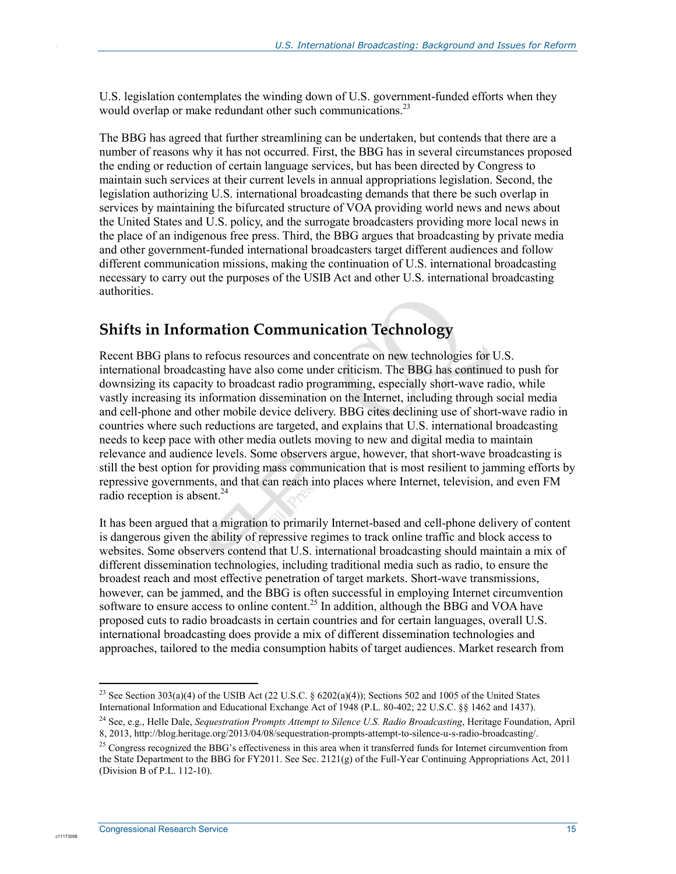U.S. legislation contemplates the winding down of U.S. government-funded efforts when they would overlap or make redundant other such communications.<sup>23</sup>

The BBG has agreed that further streamlining can be undertaken, but contends that there are a number of reasons why it has not occurred. First, the BBG has in several circumstances proposed the ending or reduction of certain language services, but has been directed by Congress to maintain such services at their current levels in annual appropriations legislation. Second, the legislation authorizing U.S. international broadcasting demands that there be such overlap in services by maintaining the bifurcated structure of VOA providing world news and news about the United States and U.S. policy, and the surrogate broadcasters providing more local news in the place of an indigenous free press. Third, the BBG argues that broadcasting by private media and other government-funded international broadcasters target different audiences and follow different communication missions, making the continuation of U.S. international broadcasting necessary to carry out the purposes of the USIB Act and other U.S. international broadcasting authorities.

## **Shifts in Information Communication Technology**

Recent BBG plans to refocus resources and concentrate on new technologies for U.S. international broadcasting have also come under criticism. The BBG has continued to push for downsizing its capacity to broadcast radio programming, especially short-wave radio, while vastly increasing its information dissemination on the Internet, including through social media and cell-phone and other mobile device delivery. BBG cites declining use of short-wave radio in countries where such reductions are targeted, and explains that U.S. international broadcasting needs to keep pace with other media outlets moving to new and digital media to maintain relevance and audience levels. Some observers argue, however, that short-wave broadcasting is still the best option for providing mass communication that is most resilient to jamming efforts by repressive governments, and that can reach into places where Internet, television, and even FM radio reception is absent. $^{24}$ 

It has been argued that a migration to primarily Internet-based and cell-phone delivery of content is dangerous given the ability of repressive regimes to track online traffic and block access to websites. Some observers contend that U.S. international broadcasting should maintain a mix of different dissemination technologies, including traditional media such as radio, to ensure the broadest reach and most effective penetration of target markets. Short-wave transmissions, however, can be jammed, and the BBG is often successful in employing Internet circumvention software to ensure access to online content.<sup>25</sup> In addition, although the BBG and VOA have proposed cuts to radio broadcasts in certain countries and for certain languages, overall U.S. international broadcasting does provide a mix of different dissemination technologies and approaches, tailored to the media consumption habits of target audiences. Market research from

1

c1117300

<sup>&</sup>lt;sup>23</sup> See Section 303(a)(4) of the USIB Act (22 U.S.C. § 6202(a)(4)); Sections 502 and 1005 of the United States International Information and Educational Exchange Act of 1948 (P.L. 80-402; 22 U.S.C. §§ 1462 and 1437).

<sup>24</sup> See, e.g., Helle Dale, *Sequestration Prompts Attempt to Silence U.S. Radio Broadcasting*, Heritage Foundation, April 8, 2013, http://blog.heritage.org/2013/04/08/sequestration-prompts-attempt-to-silence-u-s-radio-broadcasting/.

<sup>&</sup>lt;sup>25</sup> Congress recognized the BBG's effectiveness in this area when it transferred funds for Internet circumvention from the State Department to the BBG for FY2011. See Sec. 2121(g) of the Full-Year Continuing Appropriations Act, 2011 (Division B of P.L. 112-10).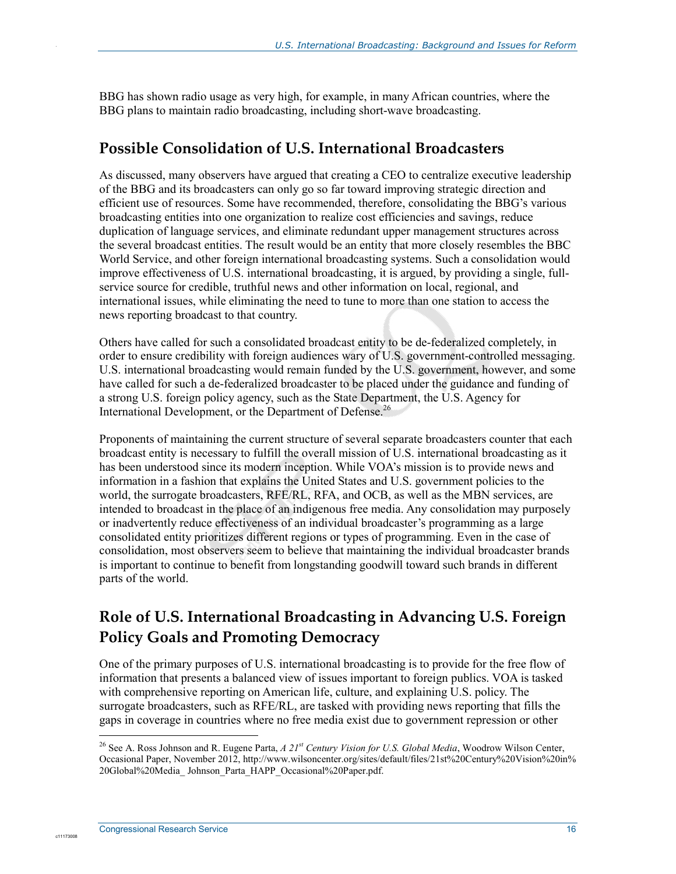BBG has shown radio usage as very high, for example, in many African countries, where the BBG plans to maintain radio broadcasting, including short-wave broadcasting.

### **Possible Consolidation of U.S. International Broadcasters**

As discussed, many observers have argued that creating a CEO to centralize executive leadership of the BBG and its broadcasters can only go so far toward improving strategic direction and efficient use of resources. Some have recommended, therefore, consolidating the BBG's various broadcasting entities into one organization to realize cost efficiencies and savings, reduce duplication of language services, and eliminate redundant upper management structures across the several broadcast entities. The result would be an entity that more closely resembles the BBC World Service, and other foreign international broadcasting systems. Such a consolidation would improve effectiveness of U.S. international broadcasting, it is argued, by providing a single, fullservice source for credible, truthful news and other information on local, regional, and international issues, while eliminating the need to tune to more than one station to access the news reporting broadcast to that country.

Others have called for such a consolidated broadcast entity to be de-federalized completely, in order to ensure credibility with foreign audiences wary of U.S. government-controlled messaging. U.S. international broadcasting would remain funded by the U.S. government, however, and some have called for such a de-federalized broadcaster to be placed under the guidance and funding of a strong U.S. foreign policy agency, such as the State Department, the U.S. Agency for International Development, or the Department of Defense.<sup>26</sup>

Proponents of maintaining the current structure of several separate broadcasters counter that each broadcast entity is necessary to fulfill the overall mission of U.S. international broadcasting as it has been understood since its modern inception. While VOA's mission is to provide news and information in a fashion that explains the United States and U.S. government policies to the world, the surrogate broadcasters, RFE/RL, RFA, and OCB, as well as the MBN services, are intended to broadcast in the place of an indigenous free media. Any consolidation may purposely or inadvertently reduce effectiveness of an individual broadcaster's programming as a large consolidated entity prioritizes different regions or types of programming. Even in the case of consolidation, most observers seem to believe that maintaining the individual broadcaster brands is important to continue to benefit from longstanding goodwill toward such brands in different parts of the world.

## **Role of U.S. International Broadcasting in Advancing U.S. Foreign Policy Goals and Promoting Democracy**

One of the primary purposes of U.S. international broadcasting is to provide for the free flow of information that presents a balanced view of issues important to foreign publics. VOA is tasked with comprehensive reporting on American life, culture, and explaining U.S. policy. The surrogate broadcasters, such as RFE/RL, are tasked with providing news reporting that fills the gaps in coverage in countries where no free media exist due to government repression or other

1

c1117300

<sup>26</sup> See A. Ross Johnson and R. Eugene Parta, *A 21st Century Vision for U.S. Global Media*, Woodrow Wilson Center, Occasional Paper, November 2012, http://www.wilsoncenter.org/sites/default/files/21st%20Century%20Vision%20in% 20Global%20Media\_ Johnson\_Parta\_HAPP\_Occasional%20Paper.pdf.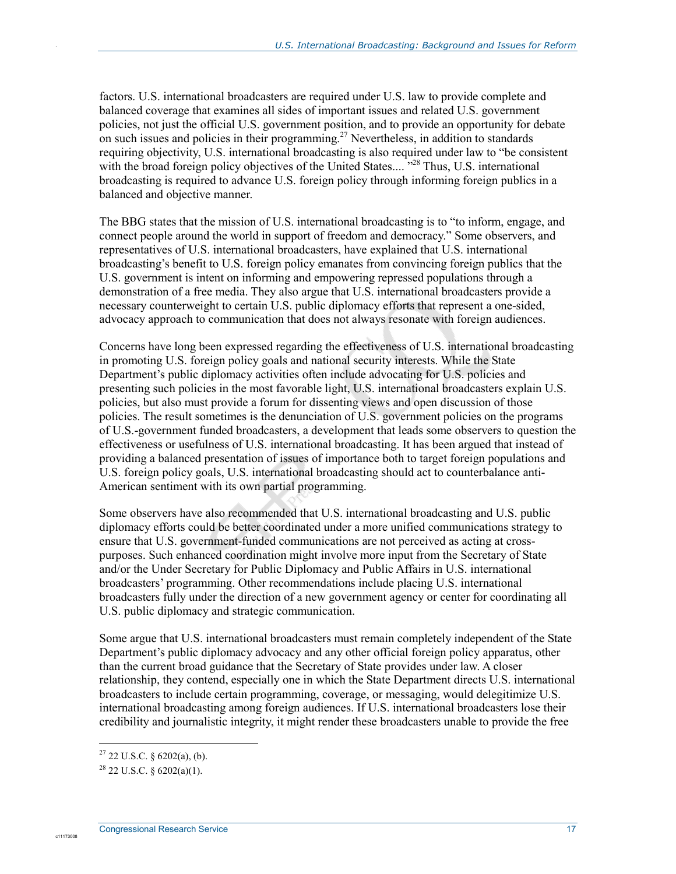factors. U.S. international broadcasters are required under U.S. law to provide complete and balanced coverage that examines all sides of important issues and related U.S. government policies, not just the official U.S. government position, and to provide an opportunity for debate on such issues and policies in their programming.<sup>27</sup> Nevertheless, in addition to standards requiring objectivity, U.S. international broadcasting is also required under law to "be consistent with the broad foreign policy objectives of the United States....<sup>"28</sup> Thus, U.S. international broadcasting is required to advance U.S. foreign policy through informing foreign publics in a balanced and objective manner.

The BBG states that the mission of U.S. international broadcasting is to "to inform, engage, and connect people around the world in support of freedom and democracy." Some observers, and representatives of U.S. international broadcasters, have explained that U.S. international broadcasting's benefit to U.S. foreign policy emanates from convincing foreign publics that the U.S. government is intent on informing and empowering repressed populations through a demonstration of a free media. They also argue that U.S. international broadcasters provide a necessary counterweight to certain U.S. public diplomacy efforts that represent a one-sided, advocacy approach to communication that does not always resonate with foreign audiences.

Concerns have long been expressed regarding the effectiveness of U.S. international broadcasting in promoting U.S. foreign policy goals and national security interests. While the State Department's public diplomacy activities often include advocating for U.S. policies and presenting such policies in the most favorable light, U.S. international broadcasters explain U.S. policies, but also must provide a forum for dissenting views and open discussion of those policies. The result sometimes is the denunciation of U.S. government policies on the programs of U.S.-government funded broadcasters, a development that leads some observers to question the effectiveness or usefulness of U.S. international broadcasting. It has been argued that instead of providing a balanced presentation of issues of importance both to target foreign populations and U.S. foreign policy goals, U.S. international broadcasting should act to counterbalance anti-American sentiment with its own partial programming.

Some observers have also recommended that U.S. international broadcasting and U.S. public diplomacy efforts could be better coordinated under a more unified communications strategy to ensure that U.S. government-funded communications are not perceived as acting at crosspurposes. Such enhanced coordination might involve more input from the Secretary of State and/or the Under Secretary for Public Diplomacy and Public Affairs in U.S. international broadcasters' programming. Other recommendations include placing U.S. international broadcasters fully under the direction of a new government agency or center for coordinating all U.S. public diplomacy and strategic communication.

Some argue that U.S. international broadcasters must remain completely independent of the State Department's public diplomacy advocacy and any other official foreign policy apparatus, other than the current broad guidance that the Secretary of State provides under law. A closer relationship, they contend, especially one in which the State Department directs U.S. international broadcasters to include certain programming, coverage, or messaging, would delegitimize U.S. international broadcasting among foreign audiences. If U.S. international broadcasters lose their credibility and journalistic integrity, it might render these broadcasters unable to provide the free

.

1

 $^{27}$  22 U.S.C. § 6202(a), (b).

 $^{28}$  22 U.S.C. § 6202(a)(1).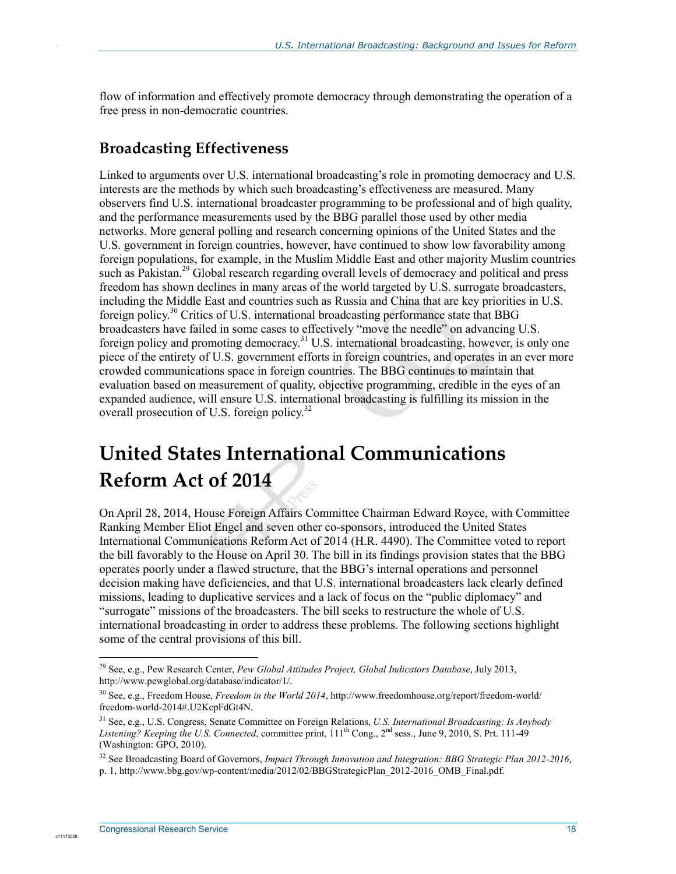flow of information and effectively promote democracy through demonstrating the operation of a free press in non-democratic countries.

## **Broadcasting Effectiveness**

.

Linked to arguments over U.S. international broadcasting's role in promoting democracy and U.S. interests are the methods by which such broadcasting's effectiveness are measured. Many observers find U.S. international broadcaster programming to be professional and of high quality, and the performance measurements used by the BBG parallel those used by other media networks. More general polling and research concerning opinions of the United States and the U.S. government in foreign countries, however, have continued to show low favorability among foreign populations, for example, in the Muslim Middle East and other majority Muslim countries such as Pakistan.<sup>29</sup> Global research regarding overall levels of democracy and political and press freedom has shown declines in many areas of the world targeted by U.S. surrogate broadcasters, including the Middle East and countries such as Russia and China that are key priorities in U.S. foreign policy.<sup>30</sup> Critics of U.S. international broadcasting performance state that BBG broadcasters have failed in some cases to effectively "move the needle" on advancing U.S. foreign policy and promoting democracy.31 U.S. international broadcasting, however, is only one piece of the entirety of U.S. government efforts in foreign countries, and operates in an ever more crowded communications space in foreign countries. The BBG continues to maintain that evaluation based on measurement of quality, objective programming, credible in the eyes of an expanded audience, will ensure U.S. international broadcasting is fulfilling its mission in the overall prosecution of U.S. foreign policy.<sup>32</sup>

## **United States International Communications Reform Act of 2014**

On April 28, 2014, House Foreign Affairs Committee Chairman Edward Royce, with Committee Ranking Member Eliot Engel and seven other co-sponsors, introduced the United States International Communications Reform Act of 2014 (H.R. 4490). The Committee voted to report the bill favorably to the House on April 30. The bill in its findings provision states that the BBG operates poorly under a flawed structure, that the BBG's internal operations and personnel decision making have deficiencies, and that U.S. international broadcasters lack clearly defined missions, leading to duplicative services and a lack of focus on the "public diplomacy" and "surrogate" missions of the broadcasters. The bill seeks to restructure the whole of U.S. international broadcasting in order to address these problems. The following sections highlight some of the central provisions of this bill.

1

<sup>29</sup> See, e.g., Pew Research Center, *Pew Global Attitudes Project, Global Indicators Database*, July 2013, http://www.pewglobal.org/database/indicator/1/.

<sup>30</sup> See, e.g., Freedom House, *Freedom in the World 2014*, http://www.freedomhouse.org/report/freedom-world/ freedom-world-2014#.U2KcpFdGt4N.

<sup>31</sup> See, e.g., U.S. Congress, Senate Committee on Foreign Relations, *U.S. International Broadcasting: Is Anybody Listening? Keeping the U.S. Connected, committee print,*  $111<sup>th</sup> Cong., 2<sup>nd</sup> sess., June 9, 2010, S. Prt. 111-49$ (Washington: GPO, 2010).

<sup>32</sup> See Broadcasting Board of Governors, *Impact Through Innovation and Integration: BBG Strategic Plan 2012-2016*, p. 1, http://www.bbg.gov/wp-content/media/2012/02/BBGStrategicPlan\_2012-2016\_OMB\_Final.pdf.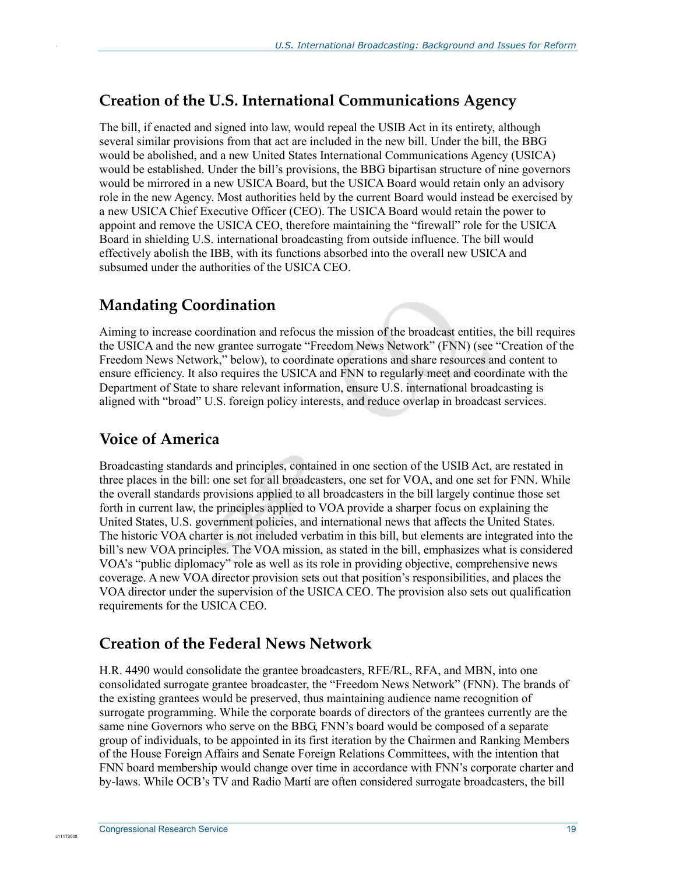## **Creation of the U.S. International Communications Agency**

The bill, if enacted and signed into law, would repeal the USIB Act in its entirety, although several similar provisions from that act are included in the new bill. Under the bill, the BBG would be abolished, and a new United States International Communications Agency (USICA) would be established. Under the bill's provisions, the BBG bipartisan structure of nine governors would be mirrored in a new USICA Board, but the USICA Board would retain only an advisory role in the new Agency. Most authorities held by the current Board would instead be exercised by a new USICA Chief Executive Officer (CEO). The USICA Board would retain the power to appoint and remove the USICA CEO, therefore maintaining the "firewall" role for the USICA Board in shielding U.S. international broadcasting from outside influence. The bill would effectively abolish the IBB, with its functions absorbed into the overall new USICA and subsumed under the authorities of the USICA CEO.

## **Mandating Coordination**

Aiming to increase coordination and refocus the mission of the broadcast entities, the bill requires the USICA and the new grantee surrogate "Freedom News Network" (FNN) (see "Creation of the Freedom News Network," below), to coordinate operations and share resources and content to ensure efficiency. It also requires the USICA and FNN to regularly meet and coordinate with the Department of State to share relevant information, ensure U.S. international broadcasting is aligned with "broad" U.S. foreign policy interests, and reduce overlap in broadcast services.

## **Voice of America**

.

Broadcasting standards and principles, contained in one section of the USIB Act, are restated in three places in the bill: one set for all broadcasters, one set for VOA, and one set for FNN. While the overall standards provisions applied to all broadcasters in the bill largely continue those set forth in current law, the principles applied to VOA provide a sharper focus on explaining the United States, U.S. government policies, and international news that affects the United States. The historic VOA charter is not included verbatim in this bill, but elements are integrated into the bill's new VOA principles. The VOA mission, as stated in the bill, emphasizes what is considered VOA's "public diplomacy" role as well as its role in providing objective, comprehensive news coverage. A new VOA director provision sets out that position's responsibilities, and places the VOA director under the supervision of the USICA CEO. The provision also sets out qualification requirements for the USICA CEO.

## **Creation of the Federal News Network**

H.R. 4490 would consolidate the grantee broadcasters, RFE/RL, RFA, and MBN, into one consolidated surrogate grantee broadcaster, the "Freedom News Network" (FNN). The brands of the existing grantees would be preserved, thus maintaining audience name recognition of surrogate programming. While the corporate boards of directors of the grantees currently are the same nine Governors who serve on the BBG, FNN's board would be composed of a separate group of individuals, to be appointed in its first iteration by the Chairmen and Ranking Members of the House Foreign Affairs and Senate Foreign Relations Committees, with the intention that FNN board membership would change over time in accordance with FNN's corporate charter and by-laws. While OCB's TV and Radio Martí are often considered surrogate broadcasters, the bill